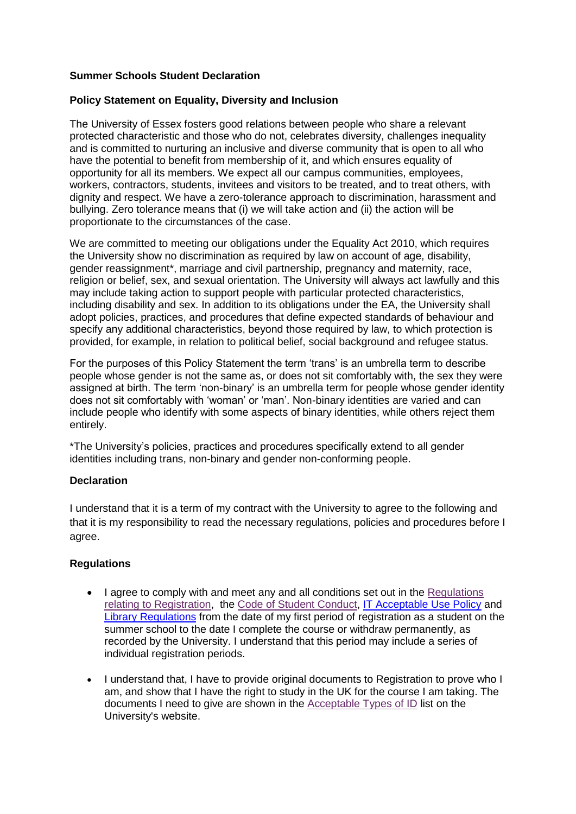# **Summer Schools Student Declaration**

### **Policy Statement on Equality, Diversity and Inclusion**

The University of Essex fosters good relations between people who share a relevant protected characteristic and those who do not, celebrates diversity, challenges inequality and is committed to nurturing an inclusive and diverse community that is open to all who have the potential to benefit from membership of it, and which ensures equality of opportunity for all its members. We expect all our campus communities, employees, workers, contractors, students, invitees and visitors to be treated, and to treat others, with dignity and respect. We have a zero-tolerance approach to discrimination, harassment and bullying. Zero tolerance means that (i) we will take action and (ii) the action will be proportionate to the circumstances of the case.

We are committed to meeting our obligations under the Equality Act 2010, which requires the University show no discrimination as required by law on account of age, disability, gender reassignment\*, marriage and civil partnership, pregnancy and maternity, race, religion or belief, sex, and sexual orientation. The University will always act lawfully and this may include taking action to support people with particular protected characteristics, including disability and sex. In addition to its obligations under the EA, the University shall adopt policies, practices, and procedures that define expected standards of behaviour and specify any additional characteristics, beyond those required by law, to which protection is provided, for example, in relation to political belief, social background and refugee status.

For the purposes of this Policy Statement the term 'trans' is an umbrella term to describe people whose gender is not the same as, or does not sit comfortably with, the sex they were assigned at birth. The term 'non-binary' is an umbrella term for people whose gender identity does not sit comfortably with 'woman' or 'man'. Non-binary identities are varied and can include people who identify with some aspects of binary identities, while others reject them entirely.

\*The University's policies, practices and procedures specifically extend to all gender identities including trans, non-binary and gender non-conforming people.

### **Declaration**

I understand that it is a term of my contract with the University to agree to the following and that it is my responsibility to read the necessary regulations, policies and procedures before I agree.

### **Regulations**

- I agree to comply with and meet any and all conditions set out in the Regulations [relating to Registration,](https://www.essex.ac.uk/-/media/documents/about/governance/regulations-registration.pdf) the [Code of Student Conduct,](https://www.essex.ac.uk/student/values/code-of-student-conduct) [IT Acceptable Use Policy](https://www1.essex.ac.uk/it/about/acceptable-use-policy/) and [Library Regulations](https://www.essex.ac.uk/-/media/documents/about/governance/library-regulations.pdf) from the date of my first period of registration as a student on the summer school to the date I complete the course or withdraw permanently, as recorded by the University. I understand that this period may include a series of individual registration periods.
- I understand that, I have to provide original documents to Registration to prove who I am, and show that I have the right to study in the UK for the course I am taking. The documents I need to give are shown in the [Acceptable Types of ID](http://www.essex.ac.uk/welcome/registration) list on the University's website.